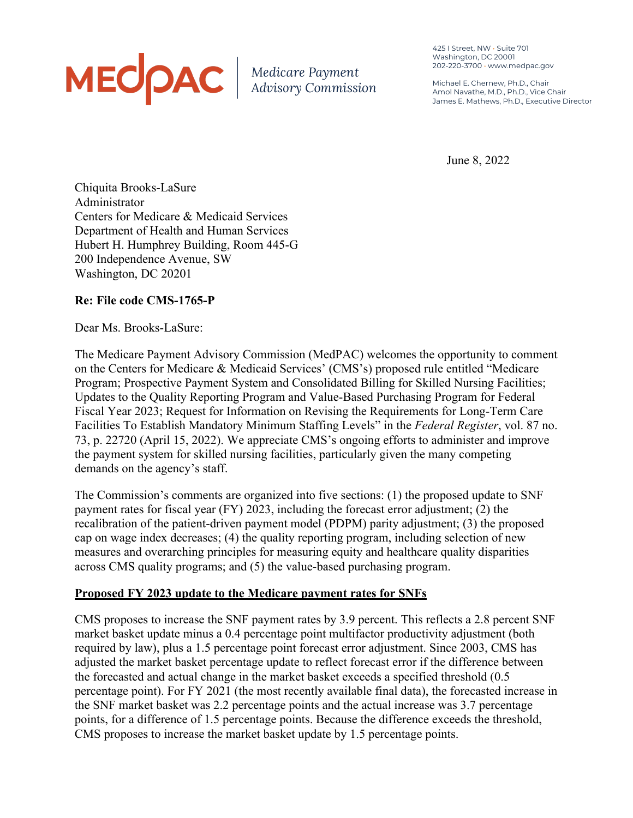# MECOAC | Medicare Payment

425 I Street, NW • Suite 701 Washington, DC 20001 202-220-3700 • www.medpac.gov

Michael E. Chernew, Ph.D., Chair Amol Navathe, M.D., Ph.D., Vice Chair James E. Mathews, Ph.D., Executive Director

June 8, 2022

Chiquita Brooks-LaSure Administrator Centers for Medicare & Medicaid Services Department of Health and Human Services Hubert H. Humphrey Building, Room 445-G 200 Independence Avenue, SW Washington, DC 20201

## **Re: File code CMS-1765-P**

Dear Ms. Brooks-LaSure:

The Medicare Payment Advisory Commission (MedPAC) welcomes the opportunity to comment on the Centers for Medicare & Medicaid Services' (CMS's) proposed rule entitled "Medicare Program; Prospective Payment System and Consolidated Billing for Skilled Nursing Facilities; Updates to the Quality Reporting Program and Value-Based Purchasing Program for Federal Fiscal Year 2023; Request for Information on Revising the Requirements for Long-Term Care Facilities To Establish Mandatory Minimum Staffing Levels" in the *Federal Register*, vol. 87 no. 73, p. 22720 (April 15, 2022). We appreciate CMS's ongoing efforts to administer and improve the payment system for skilled nursing facilities, particularly given the many competing demands on the agency's staff.

The Commission's comments are organized into five sections: (1) the proposed update to SNF payment rates for fiscal year (FY) 2023, including the forecast error adjustment; (2) the recalibration of the patient-driven payment model (PDPM) parity adjustment; (3) the proposed cap on wage index decreases; (4) the quality reporting program, including selection of new measures and overarching principles for measuring equity and healthcare quality disparities across CMS quality programs; and (5) the value-based purchasing program.

## **Proposed FY 2023 update to the Medicare payment rates for SNFs**

CMS proposes to increase the SNF payment rates by 3.9 percent. This reflects a 2.8 percent SNF market basket update minus a 0.4 percentage point multifactor productivity adjustment (both required by law), plus a 1.5 percentage point forecast error adjustment. Since 2003, CMS has adjusted the market basket percentage update to reflect forecast error if the difference between the forecasted and actual change in the market basket exceeds a specified threshold (0.5 percentage point). For FY 2021 (the most recently available final data), the forecasted increase in the SNF market basket was 2.2 percentage points and the actual increase was 3.7 percentage points, for a difference of 1.5 percentage points. Because the difference exceeds the threshold, CMS proposes to increase the market basket update by 1.5 percentage points.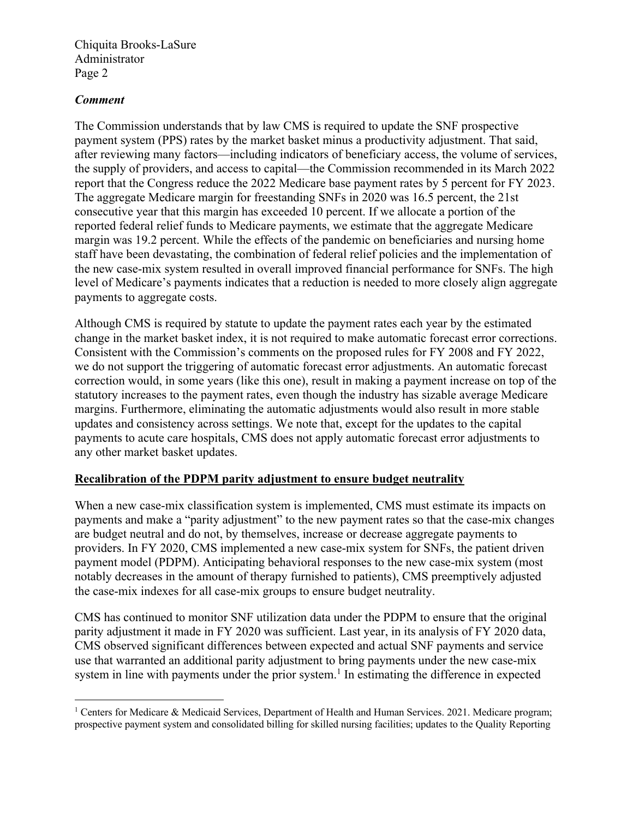#### *Comment*

The Commission understands that by law CMS is required to update the SNF prospective payment system (PPS) rates by the market basket minus a productivity adjustment. That said, after reviewing many factors—including indicators of beneficiary access, the volume of services, the supply of providers, and access to capital—the Commission recommended in its March 2022 report that the Congress reduce the 2022 Medicare base payment rates by 5 percent for FY 2023. The aggregate Medicare margin for freestanding SNFs in 2020 was 16.5 percent, the 21st consecutive year that this margin has exceeded 10 percent. If we allocate a portion of the reported federal relief funds to Medicare payments, we estimate that the aggregate Medicare margin was 19.2 percent. While the effects of the pandemic on beneficiaries and nursing home staff have been devastating, the combination of federal relief policies and the implementation of the new case-mix system resulted in overall improved financial performance for SNFs. The high level of Medicare's payments indicates that a reduction is needed to more closely align aggregate payments to aggregate costs.

Although CMS is required by statute to update the payment rates each year by the estimated change in the market basket index, it is not required to make automatic forecast error corrections. Consistent with the Commission's comments on the proposed rules for FY 2008 and FY 2022, we do not support the triggering of automatic forecast error adjustments. An automatic forecast correction would, in some years (like this one), result in making a payment increase on top of the statutory increases to the payment rates, even though the industry has sizable average Medicare margins. Furthermore, eliminating the automatic adjustments would also result in more stable updates and consistency across settings. We note that, except for the updates to the capital payments to acute care hospitals, CMS does not apply automatic forecast error adjustments to any other market basket updates.

#### **Recalibration of the PDPM parity adjustment to ensure budget neutrality**

When a new case-mix classification system is implemented, CMS must estimate its impacts on payments and make a "parity adjustment" to the new payment rates so that the case-mix changes are budget neutral and do not, by themselves, increase or decrease aggregate payments to providers. In FY 2020, CMS implemented a new case-mix system for SNFs, the patient driven payment model (PDPM). Anticipating behavioral responses to the new case-mix system (most notably decreases in the amount of therapy furnished to patients), CMS preemptively adjusted the case-mix indexes for all case-mix groups to ensure budget neutrality.

CMS has continued to monitor SNF utilization data under the PDPM to ensure that the original parity adjustment it made in FY 2020 was sufficient. Last year, in its analysis of FY 2020 data, CMS observed significant differences between expected and actual SNF payments and service use that warranted an additional parity adjustment to bring payments under the new case-mix system in line with payments under the prior system.<sup>1</sup> In estimating the difference in expected

<sup>&</sup>lt;sup>1</sup> Centers for Medicare & Medicaid Services, Department of Health and Human Services. 2021. Medicare program; prospective payment system and consolidated billing for skilled nursing facilities; updates to the Quality Reporting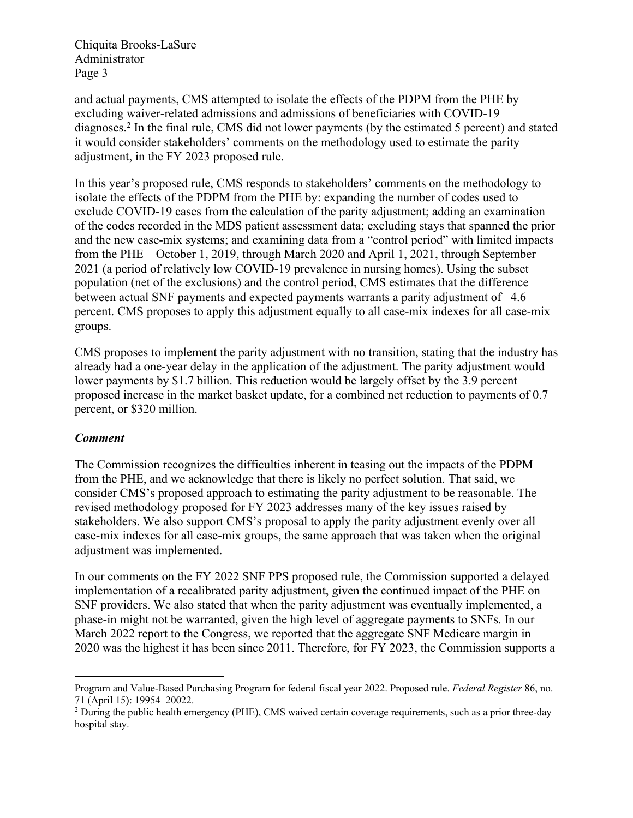and actual payments, CMS attempted to isolate the effects of the PDPM from the PHE by excluding waiver-related admissions and admissions of beneficiaries with COVID-19 diagnoses.2 In the final rule, CMS did not lower payments (by the estimated 5 percent) and stated it would consider stakeholders' comments on the methodology used to estimate the parity adjustment, in the FY 2023 proposed rule.

In this year's proposed rule, CMS responds to stakeholders' comments on the methodology to isolate the effects of the PDPM from the PHE by: expanding the number of codes used to exclude COVID-19 cases from the calculation of the parity adjustment; adding an examination of the codes recorded in the MDS patient assessment data; excluding stays that spanned the prior and the new case-mix systems; and examining data from a "control period" with limited impacts from the PHE—October 1, 2019, through March 2020 and April 1, 2021, through September 2021 (a period of relatively low COVID-19 prevalence in nursing homes). Using the subset population (net of the exclusions) and the control period, CMS estimates that the difference between actual SNF payments and expected payments warrants a parity adjustment of –4.6 percent. CMS proposes to apply this adjustment equally to all case-mix indexes for all case-mix groups.

CMS proposes to implement the parity adjustment with no transition, stating that the industry has already had a one-year delay in the application of the adjustment. The parity adjustment would lower payments by \$1.7 billion. This reduction would be largely offset by the 3.9 percent proposed increase in the market basket update, for a combined net reduction to payments of 0.7 percent, or \$320 million.

## *Comment*

The Commission recognizes the difficulties inherent in teasing out the impacts of the PDPM from the PHE, and we acknowledge that there is likely no perfect solution. That said, we consider CMS's proposed approach to estimating the parity adjustment to be reasonable. The revised methodology proposed for FY 2023 addresses many of the key issues raised by stakeholders. We also support CMS's proposal to apply the parity adjustment evenly over all case-mix indexes for all case-mix groups, the same approach that was taken when the original adjustment was implemented.

In our comments on the FY 2022 SNF PPS proposed rule, the Commission supported a delayed implementation of a recalibrated parity adjustment, given the continued impact of the PHE on SNF providers. We also stated that when the parity adjustment was eventually implemented, a phase-in might not be warranted, given the high level of aggregate payments to SNFs. In our March 2022 report to the Congress, we reported that the aggregate SNF Medicare margin in 2020 was the highest it has been since 2011. Therefore, for FY 2023, the Commission supports a

Program and Value-Based Purchasing Program for federal fiscal year 2022. Proposed rule. *Federal Register* 86, no. 71 (April 15): 19954–20022.

<sup>&</sup>lt;sup>2</sup> During the public health emergency (PHE), CMS waived certain coverage requirements, such as a prior three-day hospital stay.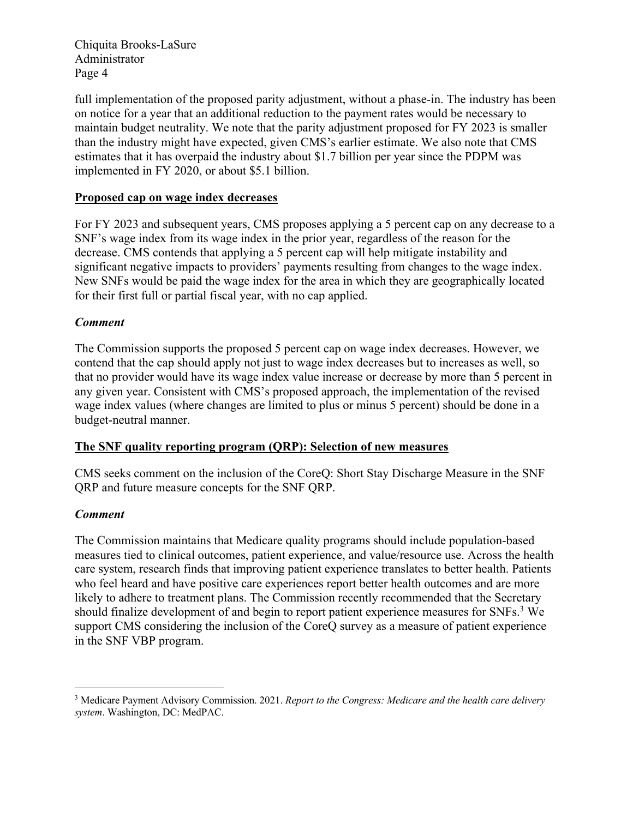full implementation of the proposed parity adjustment, without a phase-in. The industry has been on notice for a year that an additional reduction to the payment rates would be necessary to maintain budget neutrality. We note that the parity adjustment proposed for FY 2023 is smaller than the industry might have expected, given CMS's earlier estimate. We also note that CMS estimates that it has overpaid the industry about \$1.7 billion per year since the PDPM was implemented in FY 2020, or about \$5.1 billion.

#### **Proposed cap on wage index decreases**

For FY 2023 and subsequent years, CMS proposes applying a 5 percent cap on any decrease to a SNF's wage index from its wage index in the prior year, regardless of the reason for the decrease. CMS contends that applying a 5 percent cap will help mitigate instability and significant negative impacts to providers' payments resulting from changes to the wage index. New SNFs would be paid the wage index for the area in which they are geographically located for their first full or partial fiscal year, with no cap applied.

#### *Comment*

The Commission supports the proposed 5 percent cap on wage index decreases. However, we contend that the cap should apply not just to wage index decreases but to increases as well, so that no provider would have its wage index value increase or decrease by more than 5 percent in any given year. Consistent with CMS's proposed approach, the implementation of the revised wage index values (where changes are limited to plus or minus 5 percent) should be done in a budget-neutral manner.

#### **The SNF quality reporting program (QRP): Selection of new measures**

CMS seeks comment on the inclusion of the CoreQ: Short Stay Discharge Measure in the SNF QRP and future measure concepts for the SNF QRP.

## *Comment*

The Commission maintains that Medicare quality programs should include population-based measures tied to clinical outcomes, patient experience, and value/resource use. Across the health care system, research finds that improving patient experience translates to better health. Patients who feel heard and have positive care experiences report better health outcomes and are more likely to adhere to treatment plans. The Commission recently recommended that the Secretary should finalize development of and begin to report patient experience measures for SNFs.3 We support CMS considering the inclusion of the CoreQ survey as a measure of patient experience in the SNF VBP program.

<sup>3</sup> Medicare Payment Advisory Commission. 2021. *Report to the Congress: Medicare and the health care delivery system*. Washington, DC: MedPAC.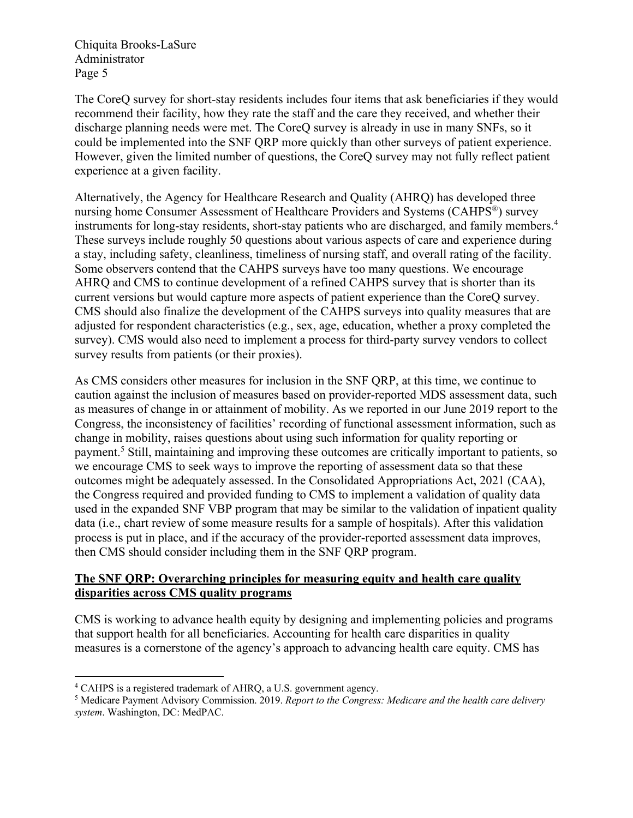The CoreQ survey for short-stay residents includes four items that ask beneficiaries if they would recommend their facility, how they rate the staff and the care they received, and whether their discharge planning needs were met. The CoreQ survey is already in use in many SNFs, so it could be implemented into the SNF QRP more quickly than other surveys of patient experience. However, given the limited number of questions, the CoreQ survey may not fully reflect patient experience at a given facility.

Alternatively, the Agency for Healthcare Research and Quality (AHRQ) has developed three nursing home Consumer Assessment of Healthcare Providers and Systems (CAHPS®) survey instruments for long-stay residents, short-stay patients who are discharged, and family members.<sup>4</sup> These surveys include roughly 50 questions about various aspects of care and experience during a stay, including safety, cleanliness, timeliness of nursing staff, and overall rating of the facility. Some observers contend that the CAHPS surveys have too many questions. We encourage AHRQ and CMS to continue development of a refined CAHPS survey that is shorter than its current versions but would capture more aspects of patient experience than the CoreQ survey. CMS should also finalize the development of the CAHPS surveys into quality measures that are adjusted for respondent characteristics (e.g., sex, age, education, whether a proxy completed the survey). CMS would also need to implement a process for third-party survey vendors to collect survey results from patients (or their proxies).

As CMS considers other measures for inclusion in the SNF QRP, at this time, we continue to caution against the inclusion of measures based on provider-reported MDS assessment data, such as measures of change in or attainment of mobility. As we reported in our June 2019 report to the Congress, the inconsistency of facilities' recording of functional assessment information, such as change in mobility, raises questions about using such information for quality reporting or payment.5 Still, maintaining and improving these outcomes are critically important to patients, so we encourage CMS to seek ways to improve the reporting of assessment data so that these outcomes might be adequately assessed. In the Consolidated Appropriations Act, 2021 (CAA), the Congress required and provided funding to CMS to implement a validation of quality data used in the expanded SNF VBP program that may be similar to the validation of inpatient quality data (i.e., chart review of some measure results for a sample of hospitals). After this validation process is put in place, and if the accuracy of the provider-reported assessment data improves, then CMS should consider including them in the SNF QRP program.

## **The SNF QRP: Overarching principles for measuring equity and health care quality disparities across CMS quality programs**

CMS is working to advance health equity by designing and implementing policies and programs that support health for all beneficiaries. Accounting for health care disparities in quality measures is a cornerstone of the agency's approach to advancing health care equity. CMS has

<sup>4</sup> CAHPS is a registered trademark of AHRQ, a U.S. government agency.

<sup>5</sup> Medicare Payment Advisory Commission. 2019. *Report to the Congress: Medicare and the health care delivery system*. Washington, DC: MedPAC.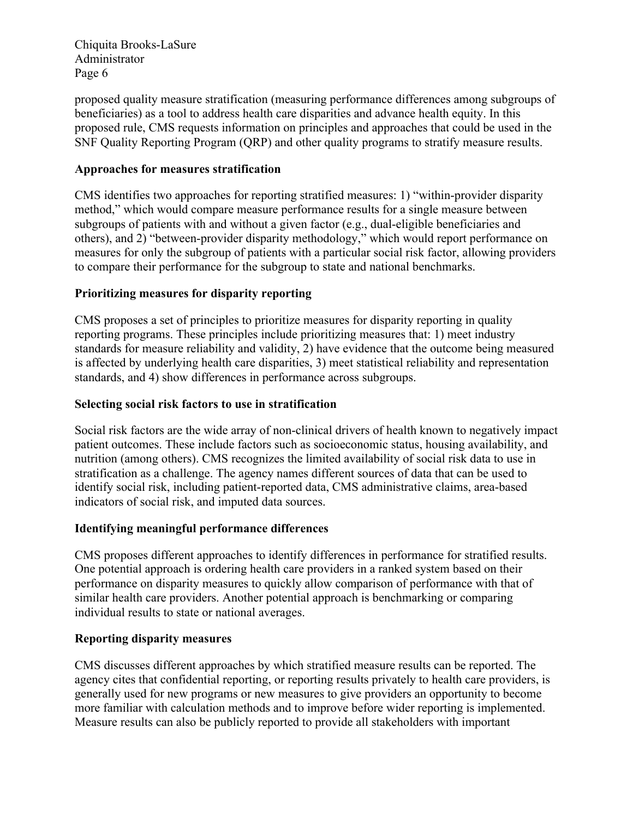proposed quality measure stratification (measuring performance differences among subgroups of beneficiaries) as a tool to address health care disparities and advance health equity. In this proposed rule, CMS requests information on principles and approaches that could be used in the SNF Quality Reporting Program (QRP) and other quality programs to stratify measure results.

## **Approaches for measures stratification**

CMS identifies two approaches for reporting stratified measures: 1) "within-provider disparity method," which would compare measure performance results for a single measure between subgroups of patients with and without a given factor (e.g., dual-eligible beneficiaries and others), and 2) "between-provider disparity methodology," which would report performance on measures for only the subgroup of patients with a particular social risk factor, allowing providers to compare their performance for the subgroup to state and national benchmarks.

# **Prioritizing measures for disparity reporting**

CMS proposes a set of principles to prioritize measures for disparity reporting in quality reporting programs. These principles include prioritizing measures that: 1) meet industry standards for measure reliability and validity, 2) have evidence that the outcome being measured is affected by underlying health care disparities, 3) meet statistical reliability and representation standards, and 4) show differences in performance across subgroups.

## **Selecting social risk factors to use in stratification**

Social risk factors are the wide array of non-clinical drivers of health known to negatively impact patient outcomes. These include factors such as socioeconomic status, housing availability, and nutrition (among others). CMS recognizes the limited availability of social risk data to use in stratification as a challenge. The agency names different sources of data that can be used to identify social risk, including patient-reported data, CMS administrative claims, area-based indicators of social risk, and imputed data sources.

## **Identifying meaningful performance differences**

CMS proposes different approaches to identify differences in performance for stratified results. One potential approach is ordering health care providers in a ranked system based on their performance on disparity measures to quickly allow comparison of performance with that of similar health care providers. Another potential approach is benchmarking or comparing individual results to state or national averages.

## **Reporting disparity measures**

CMS discusses different approaches by which stratified measure results can be reported. The agency cites that confidential reporting, or reporting results privately to health care providers, is generally used for new programs or new measures to give providers an opportunity to become more familiar with calculation methods and to improve before wider reporting is implemented. Measure results can also be publicly reported to provide all stakeholders with important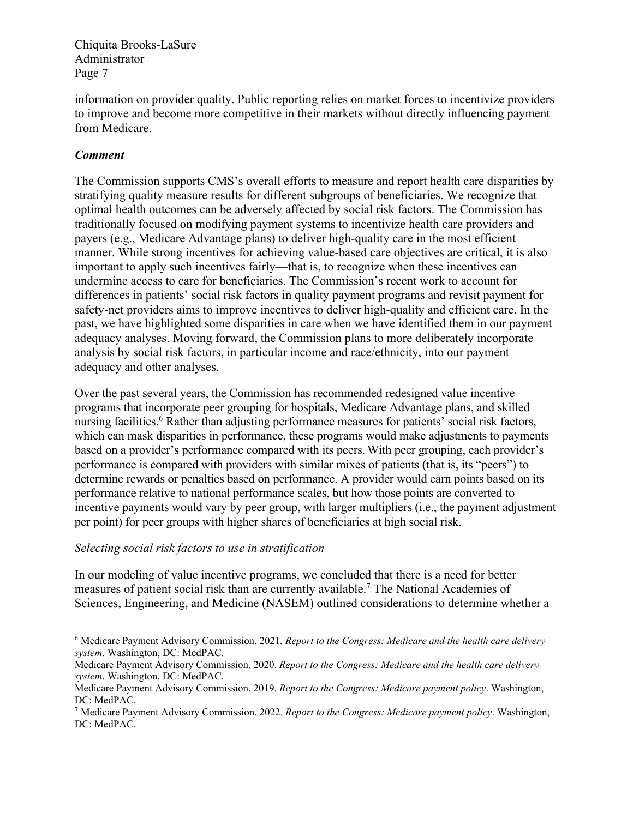information on provider quality. Public reporting relies on market forces to incentivize providers to improve and become more competitive in their markets without directly influencing payment from Medicare.

## *Comment*

The Commission supports CMS's overall efforts to measure and report health care disparities by stratifying quality measure results for different subgroups of beneficiaries. We recognize that optimal health outcomes can be adversely affected by social risk factors. The Commission has traditionally focused on modifying payment systems to incentivize health care providers and payers (e.g., Medicare Advantage plans) to deliver high-quality care in the most efficient manner. While strong incentives for achieving value-based care objectives are critical, it is also important to apply such incentives fairly—that is, to recognize when these incentives can undermine access to care for beneficiaries. The Commission's recent work to account for differences in patients' social risk factors in quality payment programs and revisit payment for safety-net providers aims to improve incentives to deliver high-quality and efficient care. In the past, we have highlighted some disparities in care when we have identified them in our payment adequacy analyses. Moving forward, the Commission plans to more deliberately incorporate analysis by social risk factors, in particular income and race/ethnicity, into our payment adequacy and other analyses.

Over the past several years, the Commission has recommended redesigned value incentive programs that incorporate peer grouping for hospitals, Medicare Advantage plans, and skilled nursing facilities.<sup>6</sup> Rather than adjusting performance measures for patients' social risk factors, which can mask disparities in performance, these programs would make adjustments to payments based on a provider's performance compared with its peers.With peer grouping, each provider's performance is compared with providers with similar mixes of patients (that is, its "peers") to determine rewards or penalties based on performance. A provider would earn points based on its performance relative to national performance scales, but how those points are converted to incentive payments would vary by peer group, with larger multipliers (i.e., the payment adjustment per point) for peer groups with higher shares of beneficiaries at high social risk.

#### *Selecting social risk factors to use in stratification*

In our modeling of value incentive programs, we concluded that there is a need for better measures of patient social risk than are currently available.7 The National Academies of Sciences, Engineering, and Medicine (NASEM) outlined considerations to determine whether a

<sup>6</sup> Medicare Payment Advisory Commission. 2021*. Report to the Congress: Medicare and the health care delivery system*. Washington, DC: MedPAC.

Medicare Payment Advisory Commission. 2020. *Report to the Congress: Medicare and the health care delivery system*. Washington, DC: MedPAC.

Medicare Payment Advisory Commission. 2019. *Report to the Congress: Medicare payment policy*. Washington, DC: MedPAC.

<sup>7</sup> Medicare Payment Advisory Commission. 2022. *Report to the Congress: Medicare payment policy*. Washington, DC: MedPAC.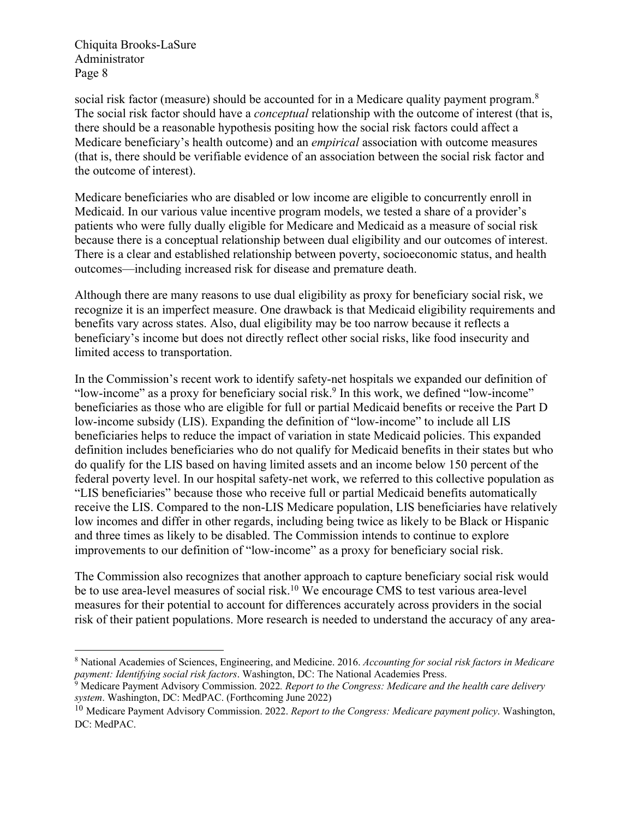social risk factor (measure) should be accounted for in a Medicare quality payment program.<sup>8</sup> The social risk factor should have a *conceptual* relationship with the outcome of interest (that is, there should be a reasonable hypothesis positing how the social risk factors could affect a Medicare beneficiary's health outcome) and an *empirical* association with outcome measures (that is, there should be verifiable evidence of an association between the social risk factor and the outcome of interest).

Medicare beneficiaries who are disabled or low income are eligible to concurrently enroll in Medicaid. In our various value incentive program models, we tested a share of a provider's patients who were fully dually eligible for Medicare and Medicaid as a measure of social risk because there is a conceptual relationship between dual eligibility and our outcomes of interest. There is a clear and established relationship between poverty, socioeconomic status, and health outcomes—including increased risk for disease and premature death.

Although there are many reasons to use dual eligibility as proxy for beneficiary social risk, we recognize it is an imperfect measure. One drawback is that Medicaid eligibility requirements and benefits vary across states. Also, dual eligibility may be too narrow because it reflects a beneficiary's income but does not directly reflect other social risks, like food insecurity and limited access to transportation.

In the Commission's recent work to identify safety-net hospitals we expanded our definition of "low-income" as a proxy for beneficiary social risk.<sup>9</sup> In this work, we defined "low-income" beneficiaries as those who are eligible for full or partial Medicaid benefits or receive the Part D low-income subsidy (LIS). Expanding the definition of "low-income" to include all LIS beneficiaries helps to reduce the impact of variation in state Medicaid policies. This expanded definition includes beneficiaries who do not qualify for Medicaid benefits in their states but who do qualify for the LIS based on having limited assets and an income below 150 percent of the federal poverty level. In our hospital safety-net work, we referred to this collective population as "LIS beneficiaries" because those who receive full or partial Medicaid benefits automatically receive the LIS. Compared to the non-LIS Medicare population, LIS beneficiaries have relatively low incomes and differ in other regards, including being twice as likely to be Black or Hispanic and three times as likely to be disabled. The Commission intends to continue to explore improvements to our definition of "low-income" as a proxy for beneficiary social risk.

The Commission also recognizes that another approach to capture beneficiary social risk would be to use area-level measures of social risk.<sup>10</sup> We encourage CMS to test various area-level measures for their potential to account for differences accurately across providers in the social risk of their patient populations. More research is needed to understand the accuracy of any area-

<sup>8</sup> National Academies of Sciences, Engineering, and Medicine. 2016. *Accounting for social risk factors in Medicare payment: Identifying social risk factors*. Washington, DC: The National Academies Press.

<sup>9</sup> Medicare Payment Advisory Commission. 2022*. Report to the Congress: Medicare and the health care delivery system*. Washington, DC: MedPAC. (Forthcoming June 2022)

<sup>10</sup> Medicare Payment Advisory Commission. 2022. *Report to the Congress: Medicare payment policy*. Washington, DC: MedPAC.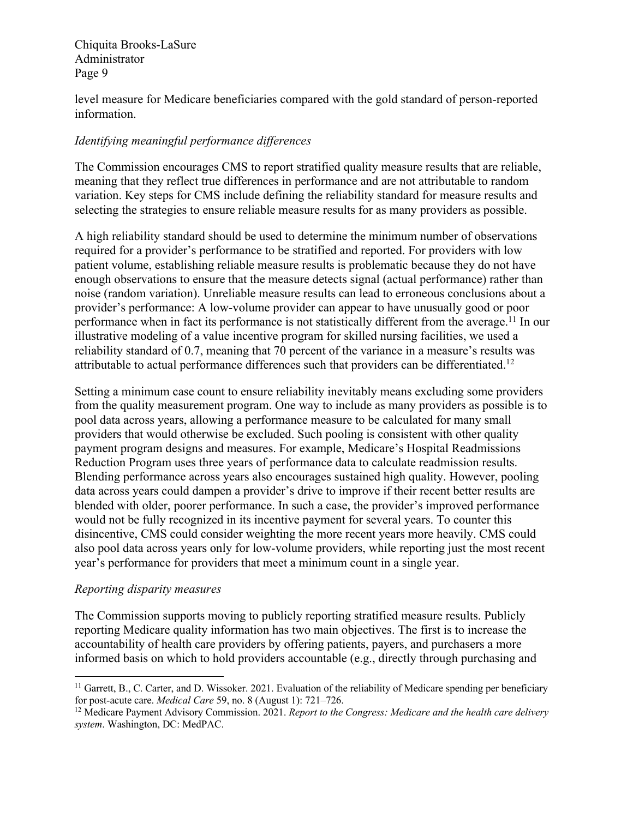level measure for Medicare beneficiaries compared with the gold standard of person-reported information.

# *Identifying meaningful performance differences*

The Commission encourages CMS to report stratified quality measure results that are reliable, meaning that they reflect true differences in performance and are not attributable to random variation. Key steps for CMS include defining the reliability standard for measure results and selecting the strategies to ensure reliable measure results for as many providers as possible.

A high reliability standard should be used to determine the minimum number of observations required for a provider's performance to be stratified and reported. For providers with low patient volume, establishing reliable measure results is problematic because they do not have enough observations to ensure that the measure detects signal (actual performance) rather than noise (random variation). Unreliable measure results can lead to erroneous conclusions about a provider's performance: A low-volume provider can appear to have unusually good or poor performance when in fact its performance is not statistically different from the average.<sup>11</sup> In our illustrative modeling of a value incentive program for skilled nursing facilities, we used a reliability standard of 0.7, meaning that 70 percent of the variance in a measure's results was attributable to actual performance differences such that providers can be differentiated.12

Setting a minimum case count to ensure reliability inevitably means excluding some providers from the quality measurement program. One way to include as many providers as possible is to pool data across years, allowing a performance measure to be calculated for many small providers that would otherwise be excluded. Such pooling is consistent with other quality payment program designs and measures. For example, Medicare's Hospital Readmissions Reduction Program uses three years of performance data to calculate readmission results. Blending performance across years also encourages sustained high quality. However, pooling data across years could dampen a provider's drive to improve if their recent better results are blended with older, poorer performance. In such a case, the provider's improved performance would not be fully recognized in its incentive payment for several years. To counter this disincentive, CMS could consider weighting the more recent years more heavily. CMS could also pool data across years only for low-volume providers, while reporting just the most recent year's performance for providers that meet a minimum count in a single year.

## *Reporting disparity measures*

The Commission supports moving to publicly reporting stratified measure results. Publicly reporting Medicare quality information has two main objectives. The first is to increase the accountability of health care providers by offering patients, payers, and purchasers a more informed basis on which to hold providers accountable (e.g., directly through purchasing and

<sup>&</sup>lt;sup>11</sup> Garrett, B., C. Carter, and D. Wissoker. 2021. Evaluation of the reliability of Medicare spending per beneficiary for post-acute care. *Medical Care* 59, no. 8 (August 1): 721–726.

<sup>12</sup> Medicare Payment Advisory Commission. 2021. *Report to the Congress: Medicare and the health care delivery system*. Washington, DC: MedPAC.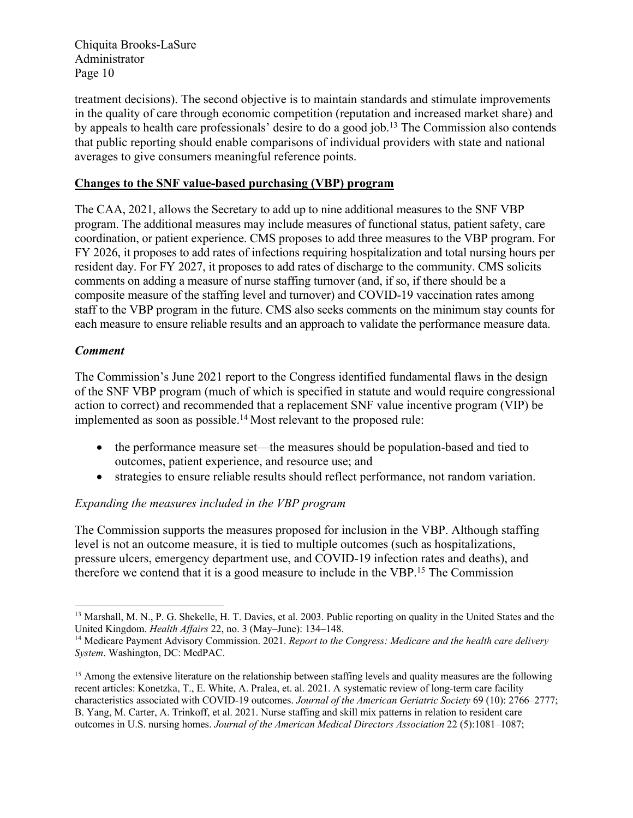treatment decisions). The second objective is to maintain standards and stimulate improvements in the quality of care through economic competition (reputation and increased market share) and by appeals to health care professionals' desire to do a good job.13 The Commission also contends that public reporting should enable comparisons of individual providers with state and national averages to give consumers meaningful reference points.

#### **Changes to the SNF value-based purchasing (VBP) program**

The CAA, 2021, allows the Secretary to add up to nine additional measures to the SNF VBP program. The additional measures may include measures of functional status, patient safety, care coordination, or patient experience. CMS proposes to add three measures to the VBP program. For FY 2026, it proposes to add rates of infections requiring hospitalization and total nursing hours per resident day. For FY 2027, it proposes to add rates of discharge to the community. CMS solicits comments on adding a measure of nurse staffing turnover (and, if so, if there should be a composite measure of the staffing level and turnover) and COVID-19 vaccination rates among staff to the VBP program in the future. CMS also seeks comments on the minimum stay counts for each measure to ensure reliable results and an approach to validate the performance measure data.

#### *Comment*

The Commission's June 2021 report to the Congress identified fundamental flaws in the design of the SNF VBP program (much of which is specified in statute and would require congressional action to correct) and recommended that a replacement SNF value incentive program (VIP) be implemented as soon as possible.<sup>14</sup> Most relevant to the proposed rule:

- the performance measure set—the measures should be population-based and tied to outcomes, patient experience, and resource use; and
- strategies to ensure reliable results should reflect performance, not random variation.

## *Expanding the measures included in the VBP program*

The Commission supports the measures proposed for inclusion in the VBP. Although staffing level is not an outcome measure, it is tied to multiple outcomes (such as hospitalizations, pressure ulcers, emergency department use, and COVID-19 infection rates and deaths), and therefore we contend that it is a good measure to include in the VBP.<sup>15</sup> The Commission

<sup>&</sup>lt;sup>13</sup> Marshall, M. N., P. G. Shekelle, H. T. Davies, et al. 2003. Public reporting on quality in the United States and the United Kingdom. *Health Affairs* 22, no. 3 (May–June): 134–148.

<sup>14</sup> Medicare Payment Advisory Commission. 2021. *Report to the Congress: Medicare and the health care delivery System*. Washington, DC: MedPAC.

<sup>&</sup>lt;sup>15</sup> Among the extensive literature on the relationship between staffing levels and quality measures are the following recent articles: Konetzka, T., E. White, A. Pralea, et. al. 2021. A systematic review of long-term care facility characteristics associated with COVID-19 outcomes. *Journal of the American Geriatric Society* 69 (10): 2766–2777; B. Yang, M. Carter, A. Trinkoff, et al. 2021. Nurse staffing and skill mix patterns in relation to resident care outcomes in U.S. nursing homes. *Journal of the American Medical Directors Association* 22 (5):1081–1087;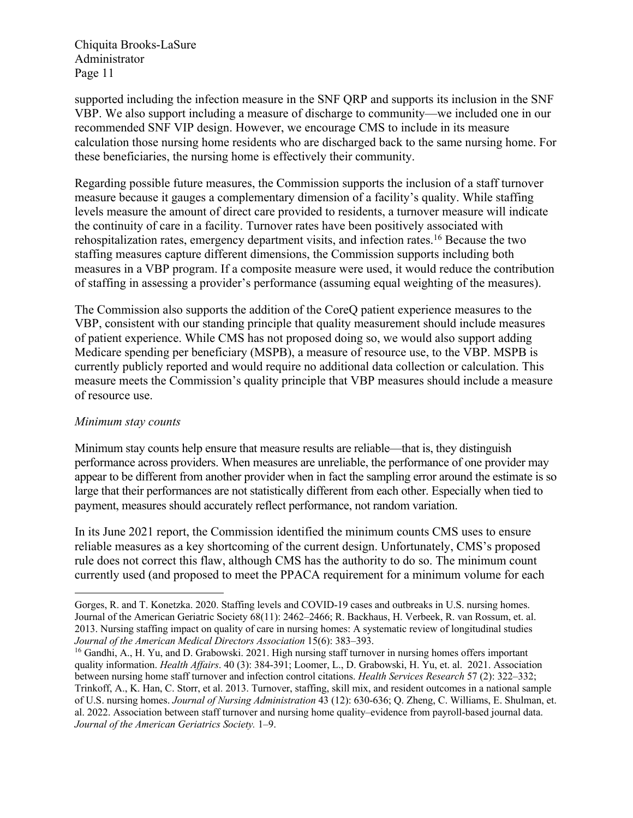supported including the infection measure in the SNF QRP and supports its inclusion in the SNF VBP. We also support including a measure of discharge to community—we included one in our recommended SNF VIP design. However, we encourage CMS to include in its measure calculation those nursing home residents who are discharged back to the same nursing home. For these beneficiaries, the nursing home is effectively their community.

Regarding possible future measures, the Commission supports the inclusion of a staff turnover measure because it gauges a complementary dimension of a facility's quality. While staffing levels measure the amount of direct care provided to residents, a turnover measure will indicate the continuity of care in a facility. Turnover rates have been positively associated with rehospitalization rates, emergency department visits, and infection rates.16 Because the two staffing measures capture different dimensions, the Commission supports including both measures in a VBP program. If a composite measure were used, it would reduce the contribution of staffing in assessing a provider's performance (assuming equal weighting of the measures).

The Commission also supports the addition of the CoreQ patient experience measures to the VBP, consistent with our standing principle that quality measurement should include measures of patient experience. While CMS has not proposed doing so, we would also support adding Medicare spending per beneficiary (MSPB), a measure of resource use, to the VBP. MSPB is currently publicly reported and would require no additional data collection or calculation. This measure meets the Commission's quality principle that VBP measures should include a measure of resource use.

#### *Minimum stay counts*

Minimum stay counts help ensure that measure results are reliable—that is, they distinguish performance across providers. When measures are unreliable, the performance of one provider may appear to be different from another provider when in fact the sampling error around the estimate is so large that their performances are not statistically different from each other. Especially when tied to payment, measures should accurately reflect performance, not random variation.

In its June 2021 report, the Commission identified the minimum counts CMS uses to ensure reliable measures as a key shortcoming of the current design. Unfortunately, CMS's proposed rule does not correct this flaw, although CMS has the authority to do so. The minimum count currently used (and proposed to meet the PPACA requirement for a minimum volume for each

Gorges, R. and T. Konetzka. 2020. Staffing levels and COVID-19 cases and outbreaks in U.S. nursing homes. Journal of the American Geriatric Society 68(11): 2462–2466; R. Backhaus, H. Verbeek, R. van Rossum, et. al. 2013. Nursing staffing impact on quality of care in nursing homes: A systematic review of longitudinal studies *Journal of the American Medical Directors Association* 15(6): 383–393.

<sup>&</sup>lt;sup>16</sup> Gandhi, A., H. Yu, and D. Grabowski. 2021. High nursing staff turnover in nursing homes offers important quality information. *Health Affairs*. 40 (3): 384-391; Loomer, L., D. Grabowski, H. Yu, et. al. 2021. Association between nursing home staff turnover and infection control citations. *Health Services Research* 57 (2): 322–332; Trinkoff, A., K. Han, C. Storr, et al. 2013. Turnover, staffing, skill mix, and resident outcomes in a national sample of U.S. nursing homes. *Journal of Nursing Administration* 43 (12): 630-636; Q. Zheng, C. Williams, E. Shulman, et. al. 2022. Association between staff turnover and nursing home quality–evidence from payroll-based journal data. *Journal of the American Geriatrics Society.* 1–9.